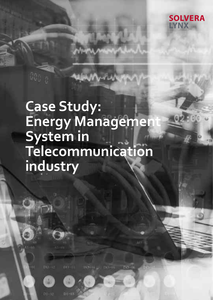

# **Case Study: Energy Management System in Telecommunication industry**

 $111 - 11$ 

he<sup>l</sup>

Dietti

Di.

 $D1 - 02$ 

 $1349 - 14$ 

permitted from the

60a <sub>10</sub>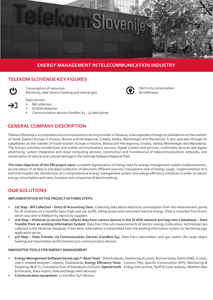

# **ENERGY MANAGEMENT IN TELECOMMUNICATION INDUSTRY**

## **TELEKOM SLOVENIJE KEY FIGURES**

Consumption of resources: Electricity, heat (district heating and natural gas)

Data sourses:

- Bill collection
	- SCADA Historian
	- Communication devices GsmBox.X4 32 data points

# **GENERAL COMPANY DESCRIPTION**

Telekom Slovenije is a comprehensive communications service provider in Slovenia, it also operates through its subsidiaries on the markets of South-Eastern Europe in Kosovo, Bosnia and Herzegovina, Croatia, Serbia, Montenegro and Macedonia. It also operates through its subsidiaries on the markets of South-Eastern Europe in Kosovo, Bosnia and Herzegovina, Croatia, Serbia, Montenegro and Macedonia. The Group's activities include fixed and mobile communications services, digital content and services, multimedia services and digital advertising, system integration and cloud computing services, construction and maintenance of telecommunications networks, and conservation of natural and cultural heritage in the Sečovlje Saltpans Regional Park.

**The main objectives of the EM project were:** complete digitalization of energy data for energy management system implementation, accumulation of all data in one place (collection of data from different sources), transparent view of energy usage , implementation of a tool that enables the introduction of a comprehensive energy management system and energy efficiency initiatives in order to reduce energy consumption and costs, business unit comparison & benchmarking.

# **OUR SOLUTIONS**

## **IMPLEMENTATION OF THE PROJECT IN THREE STEPS:**

- **• 1st Step Bill Collection Entry of Accounting Data.** Collecting data about electricity consumption from the measurement points for all locations on a monthly basis (high and low tariff), billing power and consumed reactive energy. Data is imported from Excel, which was sent to Telekom by electricity suppliers.
- **• 2nd Step Historian (a service that collects data from various devices in the SCADA network and logs into a database) Data Transfer from an existing Information System**. Data from the sub-measurements of electric energy (collocation, technology) are collected in the Historian database. From here, information is transmitted from the existing information system to the GemaLogic application server.
- **• 3rd Step Data Transfer via Communication Devices (ComBox.X4).** Data from calorimeters and gas meters (for large object heating) are transmitted via the Solvera Lynx communication devices.

### **INNOVATIVE TOOLS FOR ENERGY MANAGEMENT**

- **• Energy Management Software GemaLogic®: Basic Tools** Data Analyses, monitoring (Current, Archive Data), Alerts (SMS, e-mail), User's created analyses / reports, Dashboards; **Energy Efficiency Tools** - Contour Plot, Specific Consumption (KPI), Monitoring & Targeting (M & T), Cumulative Sum of Deviations (CuSum); **Special tools** - Energy bills archive, Tariff & Costs analysis, Weather data & forecasts, Data import, Data exchange (web services).
- **• Communication equipment:** 21 GsmBox.X4® devices.



Electricity consumption: 80 GWh/year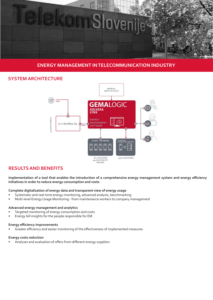

## **ENERGY MANAGEMENT IN TELECOMMUNICATION INDUSTRY**

## **SYSTEM ARCHITECTURE**



# **RESULTS AND BENEFITS**

**Implementation of a tool that enables the introduction of a comprehensive energy management system and energy efficiency initiatives in order to reduce energy consumption and costs.**

#### **Complete digitalization of energy data and transparent view of energy usage**

- Systematic and real-time energy monitoring, advanced analysis, benchmarking
- Multi-level Energy Usage Monitoring from maintenance workers to company management

#### **Advanced energy management and analytics**

- Targeted monitoring of energy consumption and costs
- Energy bill insights for the people responsible for EM

#### **Energy efficiency improvements**

• Greater efficiency and easier monitoring of the effectiveness of implemented measures

#### **Energy costs reduction**

• Analyses and avaluation of offers from different energy suppliers